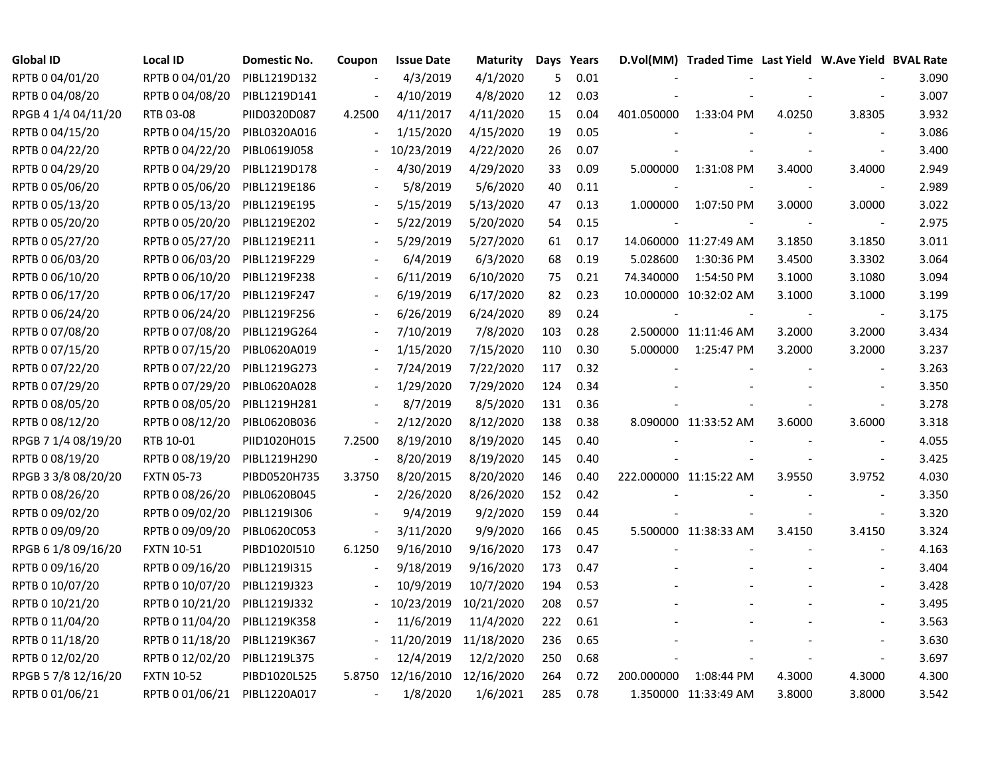| <b>Global ID</b>    | Local ID          | <b>Domestic No.</b> | Coupon                   | <b>Issue Date</b> | <b>Maturity</b> |     | Days Years |            | D.Vol(MM) Traded Time Last Yield W.Ave Yield BVAL Rate |        |                |       |
|---------------------|-------------------|---------------------|--------------------------|-------------------|-----------------|-----|------------|------------|--------------------------------------------------------|--------|----------------|-------|
| RPTB 0 04/01/20     | RPTB 0 04/01/20   | PIBL1219D132        |                          | 4/3/2019          | 4/1/2020        | 5   | 0.01       |            |                                                        |        |                | 3.090 |
| RPTB 0 04/08/20     | RPTB 0 04/08/20   | PIBL1219D141        |                          | 4/10/2019         | 4/8/2020        | 12  | 0.03       |            |                                                        |        |                | 3.007 |
| RPGB 4 1/4 04/11/20 | RTB 03-08         | PIID0320D087        | 4.2500                   | 4/11/2017         | 4/11/2020       | 15  | 0.04       | 401.050000 | 1:33:04 PM                                             | 4.0250 | 3.8305         | 3.932 |
| RPTB 0 04/15/20     | RPTB 0 04/15/20   | PIBL0320A016        |                          | 1/15/2020         | 4/15/2020       | 19  | 0.05       |            |                                                        |        |                | 3.086 |
| RPTB 0 04/22/20     | RPTB 0 04/22/20   | PIBL0619J058        |                          | 10/23/2019        | 4/22/2020       | 26  | 0.07       |            |                                                        |        |                | 3.400 |
| RPTB 0 04/29/20     | RPTB 0 04/29/20   | PIBL1219D178        |                          | 4/30/2019         | 4/29/2020       | 33  | 0.09       | 5.000000   | 1:31:08 PM                                             | 3.4000 | 3.4000         | 2.949 |
| RPTB 0 05/06/20     | RPTB 0 05/06/20   | PIBL1219E186        |                          | 5/8/2019          | 5/6/2020        | 40  | 0.11       |            |                                                        |        |                | 2.989 |
| RPTB 0 05/13/20     | RPTB 0 05/13/20   | PIBL1219E195        | $\overline{\phantom{a}}$ | 5/15/2019         | 5/13/2020       | 47  | 0.13       | 1.000000   | 1:07:50 PM                                             | 3.0000 | 3.0000         | 3.022 |
| RPTB 0 05/20/20     | RPTB 0 05/20/20   | PIBL1219E202        |                          | 5/22/2019         | 5/20/2020       | 54  | 0.15       |            |                                                        |        |                | 2.975 |
| RPTB 0 05/27/20     | RPTB 0 05/27/20   | PIBL1219E211        |                          | 5/29/2019         | 5/27/2020       | 61  | 0.17       |            | 14.060000 11:27:49 AM                                  | 3.1850 | 3.1850         | 3.011 |
| RPTB 0 06/03/20     | RPTB 0 06/03/20   | PIBL1219F229        |                          | 6/4/2019          | 6/3/2020        | 68  | 0.19       | 5.028600   | 1:30:36 PM                                             | 3.4500 | 3.3302         | 3.064 |
| RPTB 0 06/10/20     | RPTB 0 06/10/20   | PIBL1219F238        |                          | 6/11/2019         | 6/10/2020       | 75  | 0.21       | 74.340000  | 1:54:50 PM                                             | 3.1000 | 3.1080         | 3.094 |
| RPTB 0 06/17/20     | RPTB 0 06/17/20   | PIBL1219F247        |                          | 6/19/2019         | 6/17/2020       | 82  | 0.23       |            | 10.000000 10:32:02 AM                                  | 3.1000 | 3.1000         | 3.199 |
| RPTB 0 06/24/20     | RPTB 0 06/24/20   | PIBL1219F256        |                          | 6/26/2019         | 6/24/2020       | 89  | 0.24       |            |                                                        |        | $\sim$         | 3.175 |
| RPTB 0 07/08/20     | RPTB 0 07/08/20   | PIBL1219G264        |                          | 7/10/2019         | 7/8/2020        | 103 | 0.28       |            | 2.500000 11:11:46 AM                                   | 3.2000 | 3.2000         | 3.434 |
| RPTB 0 07/15/20     | RPTB 0 07/15/20   | PIBL0620A019        |                          | 1/15/2020         | 7/15/2020       | 110 | 0.30       | 5.000000   | 1:25:47 PM                                             | 3.2000 | 3.2000         | 3.237 |
| RPTB 0 07/22/20     | RPTB 0 07/22/20   | PIBL1219G273        |                          | 7/24/2019         | 7/22/2020       | 117 | 0.32       |            |                                                        |        |                | 3.263 |
| RPTB 0 07/29/20     | RPTB 0 07/29/20   | PIBL0620A028        |                          | 1/29/2020         | 7/29/2020       | 124 | 0.34       |            |                                                        |        |                | 3.350 |
| RPTB 0 08/05/20     | RPTB 0 08/05/20   | PIBL1219H281        |                          | 8/7/2019          | 8/5/2020        | 131 | 0.36       |            |                                                        |        |                | 3.278 |
| RPTB 0 08/12/20     | RPTB 0 08/12/20   | PIBL0620B036        | $\blacksquare$           | 2/12/2020         | 8/12/2020       | 138 | 0.38       |            | 8.090000 11:33:52 AM                                   | 3.6000 | 3.6000         | 3.318 |
| RPGB 7 1/4 08/19/20 | RTB 10-01         | PIID1020H015        | 7.2500                   | 8/19/2010         | 8/19/2020       | 145 | 0.40       |            |                                                        |        |                | 4.055 |
| RPTB 0 08/19/20     | RPTB 0 08/19/20   | PIBL1219H290        |                          | 8/20/2019         | 8/19/2020       | 145 | 0.40       |            |                                                        |        | $\blacksquare$ | 3.425 |
| RPGB 3 3/8 08/20/20 | <b>FXTN 05-73</b> | PIBD0520H735        | 3.3750                   | 8/20/2015         | 8/20/2020       | 146 | 0.40       |            | 222.000000 11:15:22 AM                                 | 3.9550 | 3.9752         | 4.030 |
| RPTB 0 08/26/20     | RPTB 0 08/26/20   | PIBL0620B045        | $\overline{\phantom{a}}$ | 2/26/2020         | 8/26/2020       | 152 | 0.42       |            |                                                        |        |                | 3.350 |
| RPTB 0 09/02/20     | RPTB 0 09/02/20   | PIBL1219I306        |                          | 9/4/2019          | 9/2/2020        | 159 | 0.44       |            |                                                        |        | $\blacksquare$ | 3.320 |
| RPTB 0 09/09/20     | RPTB 0 09/09/20   | PIBL0620C053        | $\overline{\phantom{a}}$ | 3/11/2020         | 9/9/2020        | 166 | 0.45       |            | 5.500000 11:38:33 AM                                   | 3.4150 | 3.4150         | 3.324 |
| RPGB 6 1/8 09/16/20 | <b>FXTN 10-51</b> | PIBD1020I510        | 6.1250                   | 9/16/2010         | 9/16/2020       | 173 | 0.47       |            |                                                        |        |                | 4.163 |
| RPTB 0 09/16/20     | RPTB 0 09/16/20   | PIBL1219I315        |                          | 9/18/2019         | 9/16/2020       | 173 | 0.47       |            |                                                        |        |                | 3.404 |
| RPTB 0 10/07/20     | RPTB 0 10/07/20   | PIBL1219J323        |                          | 10/9/2019         | 10/7/2020       | 194 | 0.53       |            |                                                        |        |                | 3.428 |
| RPTB 0 10/21/20     | RPTB 0 10/21/20   | PIBL1219J332        |                          | 10/23/2019        | 10/21/2020      | 208 | 0.57       |            |                                                        |        |                | 3.495 |
| RPTB 0 11/04/20     | RPTB 0 11/04/20   | PIBL1219K358        |                          | 11/6/2019         | 11/4/2020       | 222 | 0.61       |            |                                                        |        |                | 3.563 |
| RPTB 0 11/18/20     | RPTB 0 11/18/20   | PIBL1219K367        | $\overline{\phantom{a}}$ | 11/20/2019        | 11/18/2020      | 236 | 0.65       |            |                                                        |        |                | 3.630 |
| RPTB 0 12/02/20     | RPTB 0 12/02/20   | PIBL1219L375        | $\blacksquare$           | 12/4/2019         | 12/2/2020       | 250 | 0.68       |            |                                                        |        |                | 3.697 |
| RPGB 5 7/8 12/16/20 | <b>FXTN 10-52</b> | PIBD1020L525        | 5.8750                   | 12/16/2010        | 12/16/2020      | 264 | 0.72       | 200.000000 | 1:08:44 PM                                             | 4.3000 | 4.3000         | 4.300 |
| RPTB 0 01/06/21     | RPTB 0 01/06/21   | PIBL1220A017        |                          | 1/8/2020          | 1/6/2021        | 285 | 0.78       |            | 1.350000 11:33:49 AM                                   | 3.8000 | 3.8000         | 3.542 |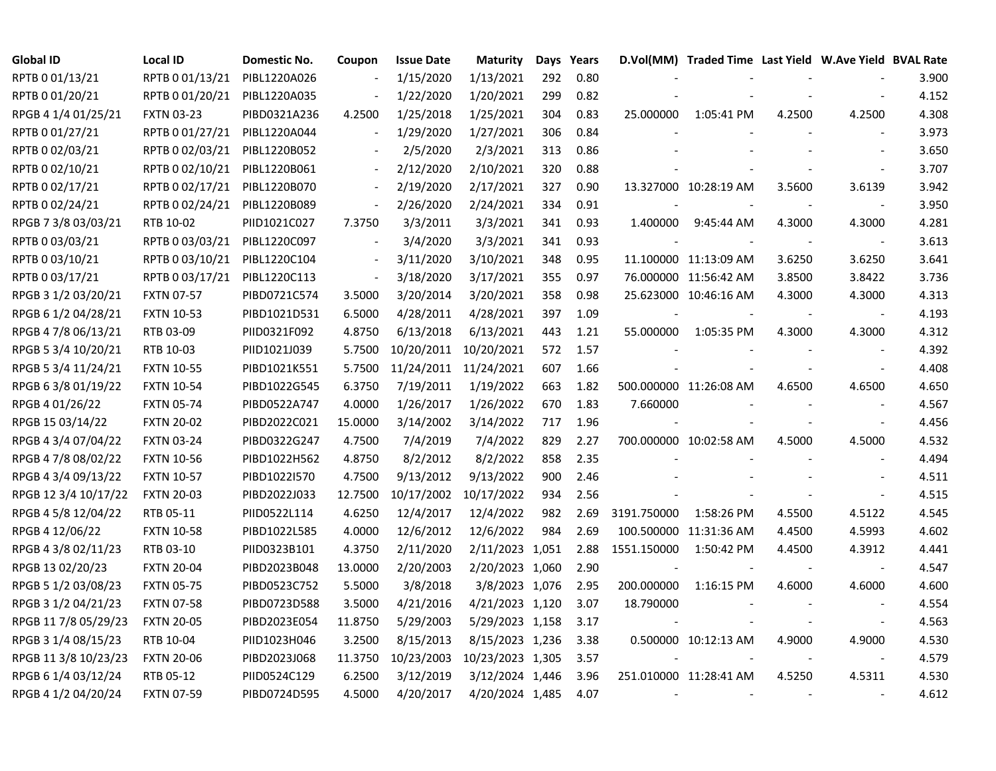| <b>Global ID</b>     | <b>Local ID</b>   | <b>Domestic No.</b> | Coupon                   | <b>Issue Date</b> | <b>Maturity</b>       |     | Days Years |             | D.Vol(MM) Traded Time Last Yield W.Ave Yield BVAL Rate |        |                |       |
|----------------------|-------------------|---------------------|--------------------------|-------------------|-----------------------|-----|------------|-------------|--------------------------------------------------------|--------|----------------|-------|
| RPTB 0 01/13/21      | RPTB 0 01/13/21   | PIBL1220A026        |                          | 1/15/2020         | 1/13/2021             | 292 | 0.80       |             |                                                        |        |                | 3.900 |
| RPTB 0 01/20/21      | RPTB 0 01/20/21   | PIBL1220A035        |                          | 1/22/2020         | 1/20/2021             | 299 | 0.82       |             |                                                        |        |                | 4.152 |
| RPGB 4 1/4 01/25/21  | <b>FXTN 03-23</b> | PIBD0321A236        | 4.2500                   | 1/25/2018         | 1/25/2021             | 304 | 0.83       | 25.000000   | 1:05:41 PM                                             | 4.2500 | 4.2500         | 4.308 |
| RPTB 0 01/27/21      | RPTB 0 01/27/21   | PIBL1220A044        |                          | 1/29/2020         | 1/27/2021             | 306 | 0.84       |             |                                                        |        |                | 3.973 |
| RPTB 0 02/03/21      | RPTB 0 02/03/21   | PIBL1220B052        |                          | 2/5/2020          | 2/3/2021              | 313 | 0.86       |             |                                                        |        |                | 3.650 |
| RPTB 0 02/10/21      | RPTB 0 02/10/21   | PIBL1220B061        | $\overline{\phantom{a}}$ | 2/12/2020         | 2/10/2021             | 320 | 0.88       |             |                                                        |        |                | 3.707 |
| RPTB 0 02/17/21      | RPTB 0 02/17/21   | PIBL1220B070        | $\overline{\phantom{a}}$ | 2/19/2020         | 2/17/2021             | 327 | 0.90       |             | 13.327000 10:28:19 AM                                  | 3.5600 | 3.6139         | 3.942 |
| RPTB 0 02/24/21      | RPTB 0 02/24/21   | PIBL1220B089        | $\blacksquare$           | 2/26/2020         | 2/24/2021             | 334 | 0.91       |             |                                                        |        |                | 3.950 |
| RPGB 7 3/8 03/03/21  | RTB 10-02         | PIID1021C027        | 7.3750                   | 3/3/2011          | 3/3/2021              | 341 | 0.93       | 1.400000    | 9:45:44 AM                                             | 4.3000 | 4.3000         | 4.281 |
| RPTB 0 03/03/21      | RPTB 0 03/03/21   | PIBL1220C097        |                          | 3/4/2020          | 3/3/2021              | 341 | 0.93       |             |                                                        |        |                | 3.613 |
| RPTB 0 03/10/21      | RPTB 0 03/10/21   | PIBL1220C104        | $\blacksquare$           | 3/11/2020         | 3/10/2021             | 348 | 0.95       |             | 11.100000 11:13:09 AM                                  | 3.6250 | 3.6250         | 3.641 |
| RPTB 0 03/17/21      | RPTB 0 03/17/21   | PIBL1220C113        | $\overline{\phantom{a}}$ | 3/18/2020         | 3/17/2021             | 355 | 0.97       |             | 76.000000 11:56:42 AM                                  | 3.8500 | 3.8422         | 3.736 |
| RPGB 3 1/2 03/20/21  | <b>FXTN 07-57</b> | PIBD0721C574        | 3.5000                   | 3/20/2014         | 3/20/2021             | 358 | 0.98       |             | 25.623000 10:46:16 AM                                  | 4.3000 | 4.3000         | 4.313 |
| RPGB 6 1/2 04/28/21  | <b>FXTN 10-53</b> | PIBD1021D531        | 6.5000                   | 4/28/2011         | 4/28/2021             | 397 | 1.09       |             |                                                        |        |                | 4.193 |
| RPGB 4 7/8 06/13/21  | RTB 03-09         | PIID0321F092        | 4.8750                   | 6/13/2018         | 6/13/2021             | 443 | 1.21       | 55.000000   | 1:05:35 PM                                             | 4.3000 | 4.3000         | 4.312 |
| RPGB 5 3/4 10/20/21  | RTB 10-03         | PIID1021J039        | 5.7500                   | 10/20/2011        | 10/20/2021            | 572 | 1.57       |             |                                                        |        |                | 4.392 |
| RPGB 5 3/4 11/24/21  | <b>FXTN 10-55</b> | PIBD1021K551        | 5.7500                   |                   | 11/24/2011 11/24/2021 | 607 | 1.66       |             |                                                        |        |                | 4.408 |
| RPGB 63/801/19/22    | <b>FXTN 10-54</b> | PIBD1022G545        | 6.3750                   | 7/19/2011         | 1/19/2022             | 663 | 1.82       |             | 500.000000 11:26:08 AM                                 | 4.6500 | 4.6500         | 4.650 |
| RPGB 4 01/26/22      | <b>FXTN 05-74</b> | PIBD0522A747        | 4.0000                   | 1/26/2017         | 1/26/2022             | 670 | 1.83       | 7.660000    |                                                        |        | $\sim$         | 4.567 |
| RPGB 15 03/14/22     | <b>FXTN 20-02</b> | PIBD2022C021        | 15.0000                  | 3/14/2002         | 3/14/2022             | 717 | 1.96       |             |                                                        |        | $\blacksquare$ | 4.456 |
| RPGB 4 3/4 07/04/22  | <b>FXTN 03-24</b> | PIBD0322G247        | 4.7500                   | 7/4/2019          | 7/4/2022              | 829 | 2.27       |             | 700.000000 10:02:58 AM                                 | 4.5000 | 4.5000         | 4.532 |
| RPGB 4 7/8 08/02/22  | <b>FXTN 10-56</b> | PIBD1022H562        | 4.8750                   | 8/2/2012          | 8/2/2022              | 858 | 2.35       |             |                                                        |        |                | 4.494 |
| RPGB 4 3/4 09/13/22  | <b>FXTN 10-57</b> | PIBD1022I570        | 4.7500                   | 9/13/2012         | 9/13/2022             | 900 | 2.46       |             |                                                        |        |                | 4.511 |
| RPGB 12 3/4 10/17/22 | <b>FXTN 20-03</b> | PIBD2022J033        | 12.7500                  |                   | 10/17/2002 10/17/2022 | 934 | 2.56       |             |                                                        |        | $\blacksquare$ | 4.515 |
| RPGB 4 5/8 12/04/22  | RTB 05-11         | PIID0522L114        | 4.6250                   | 12/4/2017         | 12/4/2022             | 982 | 2.69       | 3191.750000 | 1:58:26 PM                                             | 4.5500 | 4.5122         | 4.545 |
| RPGB 4 12/06/22      | <b>FXTN 10-58</b> | PIBD1022L585        | 4.0000                   | 12/6/2012         | 12/6/2022             | 984 | 2.69       |             | 100.500000 11:31:36 AM                                 | 4.4500 | 4.5993         | 4.602 |
| RPGB 4 3/8 02/11/23  | RTB 03-10         | PIID0323B101        | 4.3750                   | 2/11/2020         | 2/11/2023 1,051       |     | 2.88       | 1551.150000 | 1:50:42 PM                                             | 4.4500 | 4.3912         | 4.441 |
| RPGB 13 02/20/23     | <b>FXTN 20-04</b> | PIBD2023B048        | 13.0000                  | 2/20/2003         | 2/20/2023 1,060       |     | 2.90       |             |                                                        |        |                | 4.547 |
| RPGB 5 1/2 03/08/23  | <b>FXTN 05-75</b> | PIBD0523C752        | 5.5000                   | 3/8/2018          | 3/8/2023 1,076        |     | 2.95       | 200.000000  | 1:16:15 PM                                             | 4.6000 | 4.6000         | 4.600 |
| RPGB 3 1/2 04/21/23  | <b>FXTN 07-58</b> | PIBD0723D588        | 3.5000                   | 4/21/2016         | 4/21/2023 1,120       |     | 3.07       | 18.790000   |                                                        |        |                | 4.554 |
| RPGB 11 7/8 05/29/23 | <b>FXTN 20-05</b> | PIBD2023E054        | 11.8750                  | 5/29/2003         | 5/29/2023 1,158       |     | 3.17       |             |                                                        |        | $\blacksquare$ | 4.563 |
| RPGB 3 1/4 08/15/23  | RTB 10-04         | PIID1023H046        | 3.2500                   | 8/15/2013         | 8/15/2023 1,236       |     | 3.38       |             | 0.500000 10:12:13 AM                                   | 4.9000 | 4.9000         | 4.530 |
| RPGB 11 3/8 10/23/23 | <b>FXTN 20-06</b> | PIBD2023J068        | 11.3750                  | 10/23/2003        | 10/23/2023 1,305      |     | 3.57       |             |                                                        |        | $\blacksquare$ | 4.579 |
| RPGB 6 1/4 03/12/24  | RTB 05-12         | PIID0524C129        | 6.2500                   | 3/12/2019         | 3/12/2024 1,446       |     | 3.96       |             | 251.010000 11:28:41 AM                                 | 4.5250 | 4.5311         | 4.530 |
| RPGB 4 1/2 04/20/24  | <b>FXTN 07-59</b> | PIBD0724D595        | 4.5000                   | 4/20/2017         | 4/20/2024 1,485       |     | 4.07       |             |                                                        |        |                | 4.612 |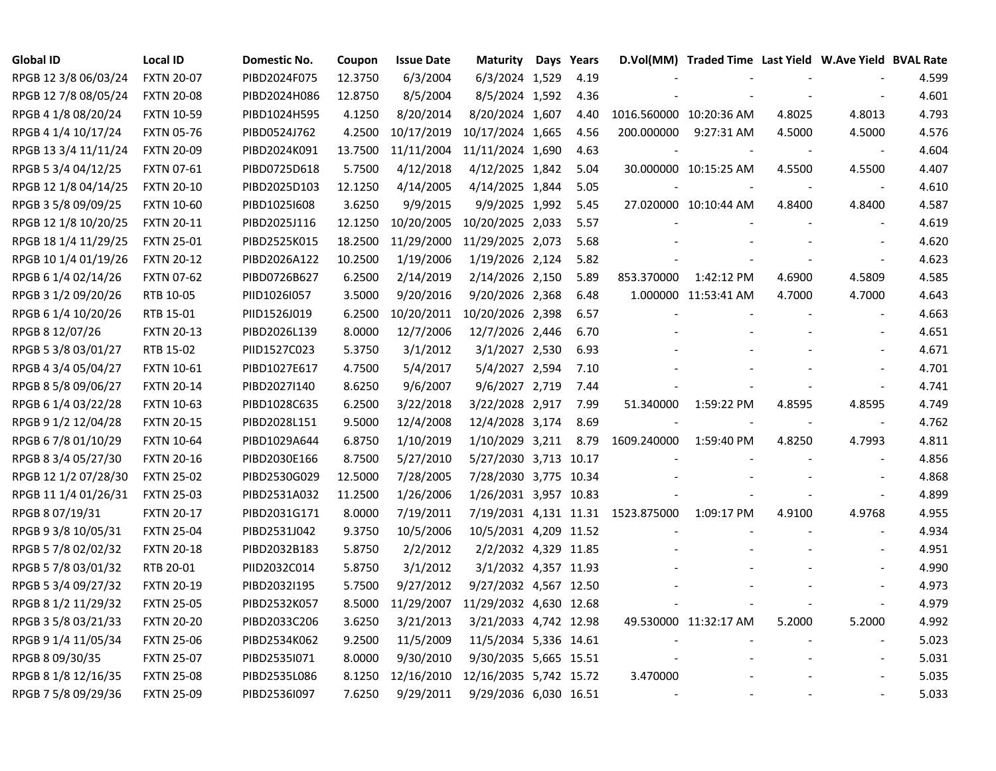| <b>Global ID</b>     | <b>Local ID</b>   | Domestic No. | Coupon  | <b>Issue Date</b> | <b>Maturity</b>             | Days Years |                                   | D.Vol(MM) Traded Time Last Yield W.Ave Yield BVAL Rate |                          |                          |       |
|----------------------|-------------------|--------------|---------|-------------------|-----------------------------|------------|-----------------------------------|--------------------------------------------------------|--------------------------|--------------------------|-------|
| RPGB 12 3/8 06/03/24 | <b>FXTN 20-07</b> | PIBD2024F075 | 12.3750 | 6/3/2004          | 6/3/2024 1,529              | 4.19       |                                   |                                                        |                          |                          | 4.599 |
| RPGB 12 7/8 08/05/24 | <b>FXTN 20-08</b> | PIBD2024H086 | 12.8750 | 8/5/2004          | 8/5/2024 1,592              | 4.36       |                                   |                                                        |                          |                          | 4.601 |
| RPGB 4 1/8 08/20/24  | <b>FXTN 10-59</b> | PIBD1024H595 | 4.1250  | 8/20/2014         | 8/20/2024 1,607             | 4.40       | 1016.560000 10:20:36 AM           |                                                        | 4.8025                   | 4.8013                   | 4.793 |
| RPGB 4 1/4 10/17/24  | <b>FXTN 05-76</b> | PIBD0524J762 | 4.2500  | 10/17/2019        | 10/17/2024 1,665            | 4.56       | 200.000000                        | 9:27:31 AM                                             | 4.5000                   | 4.5000                   | 4.576 |
| RPGB 13 3/4 11/11/24 | <b>FXTN 20-09</b> | PIBD2024K091 | 13.7500 | 11/11/2004        | 11/11/2024 1,690            | 4.63       |                                   |                                                        |                          | $\overline{\phantom{a}}$ | 4.604 |
| RPGB 5 3/4 04/12/25  | <b>FXTN 07-61</b> | PIBD0725D618 | 5.7500  | 4/12/2018         | 4/12/2025 1,842             | 5.04       |                                   | 30.000000 10:15:25 AM                                  | 4.5500                   | 4.5500                   | 4.407 |
| RPGB 12 1/8 04/14/25 | <b>FXTN 20-10</b> | PIBD2025D103 | 12.1250 | 4/14/2005         | 4/14/2025 1,844             | 5.05       |                                   |                                                        |                          | $\sim$                   | 4.610 |
| RPGB 3 5/8 09/09/25  | <b>FXTN 10-60</b> | PIBD10251608 | 3.6250  | 9/9/2015          | 9/9/2025 1,992              | 5.45       |                                   | 27.020000 10:10:44 AM                                  | 4.8400                   | 4.8400                   | 4.587 |
| RPGB 12 1/8 10/20/25 | <b>FXTN 20-11</b> | PIBD2025J116 | 12.1250 | 10/20/2005        | 10/20/2025 2,033            | 5.57       |                                   |                                                        |                          | $\overline{\phantom{a}}$ | 4.619 |
| RPGB 18 1/4 11/29/25 | <b>FXTN 25-01</b> | PIBD2525K015 | 18.2500 | 11/29/2000        | 11/29/2025 2,073            | 5.68       |                                   |                                                        |                          |                          | 4.620 |
| RPGB 10 1/4 01/19/26 | <b>FXTN 20-12</b> | PIBD2026A122 | 10.2500 | 1/19/2006         | 1/19/2026 2,124             | 5.82       |                                   |                                                        |                          | $\blacksquare$           | 4.623 |
| RPGB 6 1/4 02/14/26  | <b>FXTN 07-62</b> | PIBD0726B627 | 6.2500  | 2/14/2019         | 2/14/2026 2,150             | 5.89       | 853.370000                        | 1:42:12 PM                                             | 4.6900                   | 4.5809                   | 4.585 |
| RPGB 3 1/2 09/20/26  | RTB 10-05         | PIID1026I057 | 3.5000  | 9/20/2016         | 9/20/2026 2,368             | 6.48       |                                   | 1.000000 11:53:41 AM                                   | 4.7000                   | 4.7000                   | 4.643 |
| RPGB 6 1/4 10/20/26  | RTB 15-01         | PIID1526J019 | 6.2500  |                   | 10/20/2011 10/20/2026 2,398 | 6.57       |                                   |                                                        |                          |                          | 4.663 |
| RPGB 8 12/07/26      | <b>FXTN 20-13</b> | PIBD2026L139 | 8.0000  | 12/7/2006         | 12/7/2026 2,446             | 6.70       |                                   |                                                        |                          |                          | 4.651 |
| RPGB 5 3/8 03/01/27  | RTB 15-02         | PIID1527C023 | 5.3750  | 3/1/2012          | 3/1/2027 2,530              | 6.93       |                                   |                                                        |                          |                          | 4.671 |
| RPGB 4 3/4 05/04/27  | <b>FXTN 10-61</b> | PIBD1027E617 | 4.7500  | 5/4/2017          | 5/4/2027 2,594              | 7.10       |                                   |                                                        |                          |                          | 4.701 |
| RPGB 8 5/8 09/06/27  | <b>FXTN 20-14</b> | PIBD2027I140 | 8.6250  | 9/6/2007          | 9/6/2027 2,719              | 7.44       |                                   |                                                        |                          |                          | 4.741 |
| RPGB 6 1/4 03/22/28  | <b>FXTN 10-63</b> | PIBD1028C635 | 6.2500  | 3/22/2018         | 3/22/2028 2,917             | 7.99       | 51.340000                         | 1:59:22 PM                                             | 4.8595                   | 4.8595                   | 4.749 |
| RPGB 9 1/2 12/04/28  | <b>FXTN 20-15</b> | PIBD2028L151 | 9.5000  | 12/4/2008         | 12/4/2028 3,174             | 8.69       |                                   |                                                        | $\overline{\phantom{a}}$ | $\blacksquare$           | 4.762 |
| RPGB 67/8 01/10/29   | <b>FXTN 10-64</b> | PIBD1029A644 | 6.8750  | 1/10/2019         | 1/10/2029 3,211             | 8.79       | 1609.240000                       | 1:59:40 PM                                             | 4.8250                   | 4.7993                   | 4.811 |
| RPGB 8 3/4 05/27/30  | <b>FXTN 20-16</b> | PIBD2030E166 | 8.7500  | 5/27/2010         | 5/27/2030 3,713 10.17       |            |                                   |                                                        |                          | $\sim$                   | 4.856 |
| RPGB 12 1/2 07/28/30 | <b>FXTN 25-02</b> | PIBD2530G029 | 12.5000 | 7/28/2005         | 7/28/2030 3,775 10.34       |            |                                   |                                                        |                          |                          | 4.868 |
| RPGB 11 1/4 01/26/31 | <b>FXTN 25-03</b> | PIBD2531A032 | 11.2500 | 1/26/2006         | 1/26/2031 3,957 10.83       |            |                                   |                                                        |                          | $\blacksquare$           | 4.899 |
| RPGB 8 07/19/31      | <b>FXTN 20-17</b> | PIBD2031G171 | 8.0000  | 7/19/2011         |                             |            | 7/19/2031 4,131 11.31 1523.875000 | 1:09:17 PM                                             | 4.9100                   | 4.9768                   | 4.955 |
| RPGB 9 3/8 10/05/31  | <b>FXTN 25-04</b> | PIBD2531J042 | 9.3750  | 10/5/2006         | 10/5/2031 4,209 11.52       |            |                                   |                                                        |                          | $\sim$                   | 4.934 |
| RPGB 5 7/8 02/02/32  | <b>FXTN 20-18</b> | PIBD2032B183 | 5.8750  | 2/2/2012          | 2/2/2032 4,329 11.85        |            |                                   |                                                        |                          |                          | 4.951 |
| RPGB 5 7/8 03/01/32  | RTB 20-01         | PIID2032C014 | 5.8750  | 3/1/2012          | 3/1/2032 4,357 11.93        |            |                                   |                                                        |                          |                          | 4.990 |
| RPGB 5 3/4 09/27/32  | <b>FXTN 20-19</b> | PIBD2032I195 | 5.7500  | 9/27/2012         | 9/27/2032 4,567 12.50       |            |                                   |                                                        |                          |                          | 4.973 |
| RPGB 8 1/2 11/29/32  | <b>FXTN 25-05</b> | PIBD2532K057 | 8.5000  | 11/29/2007        | 11/29/2032 4,630 12.68      |            |                                   |                                                        |                          | $\sim$                   | 4.979 |
| RPGB 3 5/8 03/21/33  | <b>FXTN 20-20</b> | PIBD2033C206 | 3.6250  | 3/21/2013         | 3/21/2033 4,742 12.98       |            |                                   | 49.530000 11:32:17 AM                                  | 5.2000                   | 5.2000                   | 4.992 |
| RPGB 9 1/4 11/05/34  | <b>FXTN 25-06</b> | PIBD2534K062 | 9.2500  | 11/5/2009         | 11/5/2034 5,336 14.61       |            |                                   |                                                        |                          | $\blacksquare$           | 5.023 |
| RPGB 8 09/30/35      | <b>FXTN 25-07</b> | PIBD2535I071 | 8.0000  | 9/30/2010         | 9/30/2035 5,665 15.51       |            |                                   |                                                        |                          | $\blacksquare$           | 5.031 |
| RPGB 8 1/8 12/16/35  | <b>FXTN 25-08</b> | PIBD2535L086 | 8.1250  | 12/16/2010        | 12/16/2035 5,742 15.72      |            | 3.470000                          |                                                        |                          |                          | 5.035 |
| RPGB 7 5/8 09/29/36  | <b>FXTN 25-09</b> | PIBD2536I097 | 7.6250  | 9/29/2011         | 9/29/2036 6,030 16.51       |            |                                   |                                                        |                          | $\sim$                   | 5.033 |